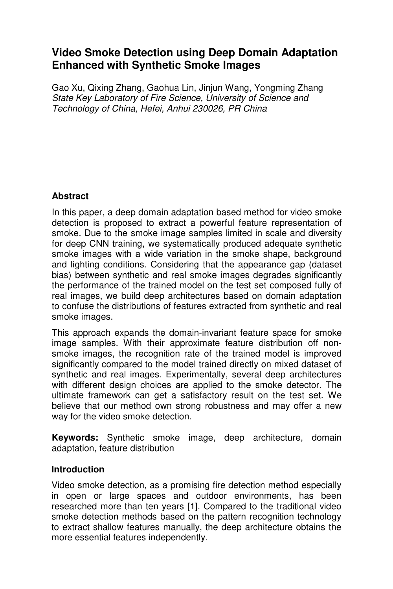# **Video Smoke Detection using Deep Domain Adaptation Enhanced with Synthetic Smoke Images**

Gao Xu, Qixing Zhang, Gaohua Lin, Jinjun Wang, Yongming Zhang State Key Laboratory of Fire Science, University of Science and Technology of China, Hefei, Anhui 230026, PR China

## **Abstract**

In this paper, a deep domain adaptation based method for video smoke detection is proposed to extract a powerful feature representation of smoke. Due to the smoke image samples limited in scale and diversity for deep CNN training, we systematically produced adequate synthetic smoke images with a wide variation in the smoke shape, background and lighting conditions. Considering that the appearance gap (dataset bias) between synthetic and real smoke images degrades significantly the performance of the trained model on the test set composed fully of real images, we build deep architectures based on domain adaptation to confuse the distributions of features extracted from synthetic and real smoke images.

This approach expands the domain-invariant feature space for smoke image samples. With their approximate feature distribution off nonsmoke images, the recognition rate of the trained model is improved significantly compared to the model trained directly on mixed dataset of synthetic and real images. Experimentally, several deep architectures with different design choices are applied to the smoke detector. The ultimate framework can get a satisfactory result on the test set. We believe that our method own strong robustness and may offer a new way for the video smoke detection.

**Keywords:** Synthetic smoke image, deep architecture, domain adaptation, feature distribution

### **Introduction**

Video smoke detection, as a promising fire detection method especially in open or large spaces and outdoor environments, has been researched more than ten years [1]. Compared to the traditional video smoke detection methods based on the pattern recognition technology to extract shallow features manually, the deep architecture obtains the more essential features independently.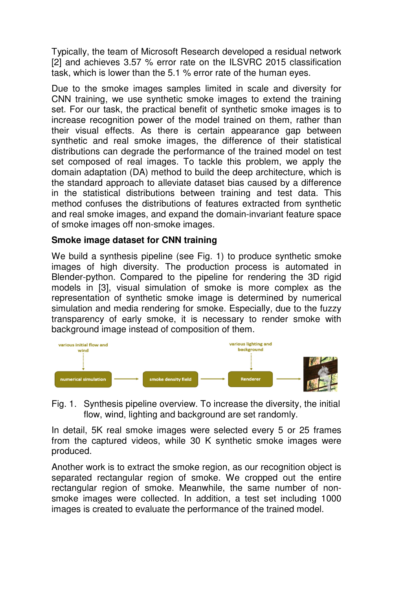Typically, the team of Microsoft Research developed a residual network [2] and achieves 3.57 % error rate on the ILSVRC 2015 classification task, which is lower than the 5.1 % error rate of the human eyes.

Due to the smoke images samples limited in scale and diversity for CNN training, we use synthetic smoke images to extend the training set. For our task, the practical benefit of synthetic smoke images is to increase recognition power of the model trained on them, rather than their visual effects. As there is certain appearance gap between synthetic and real smoke images, the difference of their statistical distributions can degrade the performance of the trained model on test set composed of real images. To tackle this problem, we apply the domain adaptation (DA) method to build the deep architecture, which is the standard approach to alleviate dataset bias caused by a difference in the statistical distributions between training and test data. This method confuses the distributions of features extracted from synthetic and real smoke images, and expand the domain-invariant feature space of smoke images off non-smoke images.

### **Smoke image dataset for CNN training**

We build a synthesis pipeline (see Fig. 1) to produce synthetic smoke images of high diversity. The production process is automated in Blender-python. Compared to the pipeline for rendering the 3D rigid models in [3], visual simulation of smoke is more complex as the representation of synthetic smoke image is determined by numerical simulation and media rendering for smoke. Especially, due to the fuzzy transparency of early smoke, it is necessary to render smoke with background image instead of composition of them.



Fig. 1. Synthesis pipeline overview. To increase the diversity, the initial flow, wind, lighting and background are set randomly.

In detail, 5K real smoke images were selected every 5 or 25 frames from the captured videos, while 30 K synthetic smoke images were produced.

Another work is to extract the smoke region, as our recognition object is separated rectangular region of smoke. We cropped out the entire rectangular region of smoke. Meanwhile, the same number of nonsmoke images were collected. In addition, a test set including 1000 images is created to evaluate the performance of the trained model.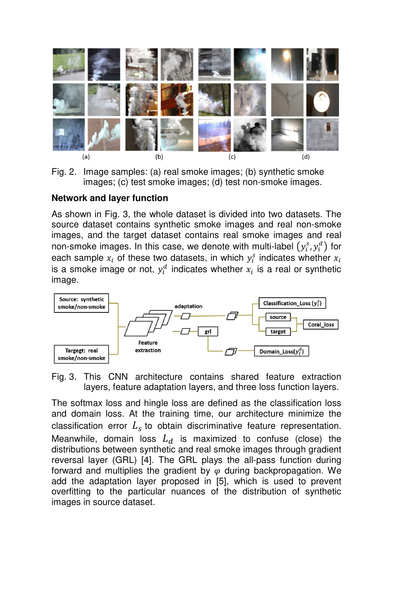

Fig. 2. Image samples: (a) real smoke images; (b) synthetic smoke images; (c) test smoke images; (d) test non-smoke images.

#### **Network and layer function**

As shown in Fig. 3, the whole dataset is divided into two datasets. The source dataset contains synthetic smoke images and real non-smoke images, and the target dataset contains real smoke images and real non-smoke images. In this case, we denote with multi-label  $(y_i^s, y_i^d)$  for each sample  $x_i$  of these two datasets, in which  $y_i^s$  indicates whether  $x_i$ is a smoke image or not,  $y_i^d$  indicates whether  $x_i$  is a real or synthetic image.



Fig. 3. This CNN architecture contains shared feature extraction layers, feature adaptation layers, and three loss function layers.

The softmax loss and hingle loss are defined as the classification loss and domain loss. At the training time, our architecture minimize the classification error  $L_s$  to obtain discriminative feature representation. Meanwhile, domain loss  $L_d$  is maximized to confuse (close) the distributions between synthetic and real smoke images through gradient reversal layer (GRL) [4]. The GRL plays the all-pass function during forward and multiplies the gradient by  $\varphi$  during backpropagation. We add the adaptation layer proposed in [5], which is used to prevent overfitting to the particular nuances of the distribution of synthetic images in source dataset.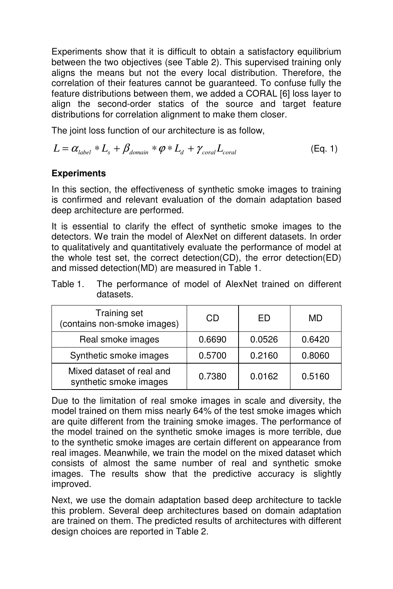Experiments show that it is difficult to obtain a satisfactory equilibrium between the two objectives (see Table 2). This supervised training only aligns the means but not the every local distribution. Therefore, the correlation of their features cannot be guaranteed. To confuse fully the feature distributions between them, we added a CORAL [6] loss layer to align the second-order statics of the source and target feature distributions for correlation alignment to make them closer.

The joint loss function of our architecture is as follow,

$$
L = \alpha_{label} * L_s + \beta_{domain} * \varphi * L_d + \gamma_{\text{coral}} L_{\text{coral}} \tag{Eq. 1}
$$

# **Experiments**

In this section, the effectiveness of synthetic smoke images to training is confirmed and relevant evaluation of the domain adaptation based deep architecture are performed.

It is essential to clarify the effect of synthetic smoke images to the detectors. We train the model of AlexNet on different datasets. In order to qualitatively and quantitatively evaluate the performance of model at the whole test set, the correct detection(CD), the error detection(ED) and missed detection(MD) are measured in Table 1.

Table 1. The performance of model of AlexNet trained on different datasets.

| Training set<br>(contains non-smoke images)         | CD     | FD     | MD     |
|-----------------------------------------------------|--------|--------|--------|
| Real smoke images                                   | 0.6690 | 0.0526 | 0.6420 |
| Synthetic smoke images                              | 0.5700 | 0.2160 | 0.8060 |
| Mixed dataset of real and<br>synthetic smoke images | 0.7380 | 0.0162 | 0.5160 |

Due to the limitation of real smoke images in scale and diversity, the model trained on them miss nearly 64% of the test smoke images which are quite different from the training smoke images. The performance of the model trained on the synthetic smoke images is more terrible, due to the synthetic smoke images are certain different on appearance from real images. Meanwhile, we train the model on the mixed dataset which consists of almost the same number of real and synthetic smoke images. The results show that the predictive accuracy is slightly improved.

Next, we use the domain adaptation based deep architecture to tackle this problem. Several deep architectures based on domain adaptation are trained on them. The predicted results of architectures with different design choices are reported in Table 2.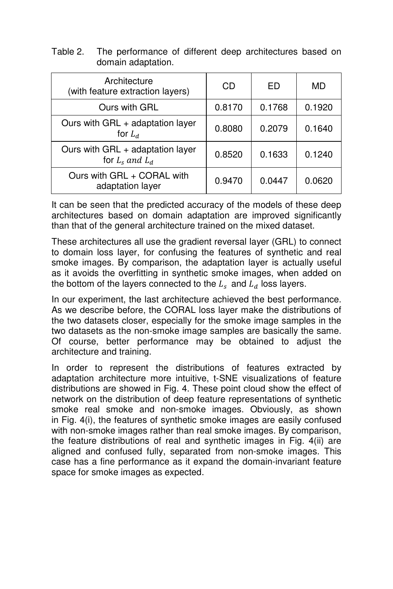Table 2. The performance of different deep architectures based on domain adaptation.

| Architecture<br>(with feature extraction layers)        | CD     | ED     | MD     |
|---------------------------------------------------------|--------|--------|--------|
| Ours with GRL                                           | 0.8170 | 0.1768 | 0.1920 |
| Ours with GRL + adaptation layer<br>for $L_d$           | 0.8080 | 0.2079 | 0.1640 |
| Ours with GRL + adaptation layer<br>for $L_s$ and $L_d$ | 0.8520 | 0.1633 | 0.1240 |
| Ours with GRL + CORAL with<br>adaptation layer          | 0.9470 | 0.0447 | 0.0620 |

It can be seen that the predicted accuracy of the models of these deep architectures based on domain adaptation are improved significantly than that of the general architecture trained on the mixed dataset.

These architectures all use the gradient reversal layer (GRL) to connect to domain loss layer, for confusing the features of synthetic and real smoke images. By comparison, the adaptation layer is actually useful as it avoids the overfitting in synthetic smoke images, when added on the bottom of the layers connected to the  $L_s$  and  $L_d$  loss layers.

In our experiment, the last architecture achieved the best performance. As we describe before, the CORAL loss layer make the distributions of the two datasets closer, especially for the smoke image samples in the two datasets as the non-smoke image samples are basically the same. Of course, better performance may be obtained to adjust the architecture and training.

In order to represent the distributions of features extracted by adaptation architecture more intuitive, t-SNE visualizations of feature distributions are showed in Fig. 4. These point cloud show the effect of network on the distribution of deep feature representations of synthetic smoke real smoke and non-smoke images. Obviously, as shown in Fig. 4(i), the features of synthetic smoke images are easily confused with non-smoke images rather than real smoke images. By comparison, the feature distributions of real and synthetic images in Fig. 4(ii) are aligned and confused fully, separated from non-smoke images. This case has a fine performance as it expand the domain-invariant feature space for smoke images as expected.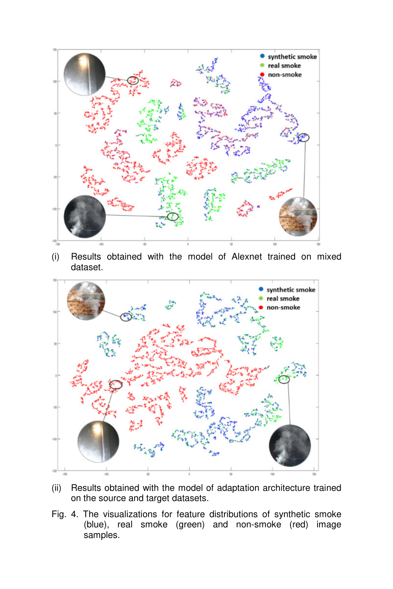

(i) Results obtained with the model of Alexnet trained on mixed dataset.



- (ii) Results obtained with the model of adaptation architecture trained on the source and target datasets.
- Fig. 4. The visualizations for feature distributions of synthetic smoke (blue), real smoke (green) and non-smoke (red) image samples.